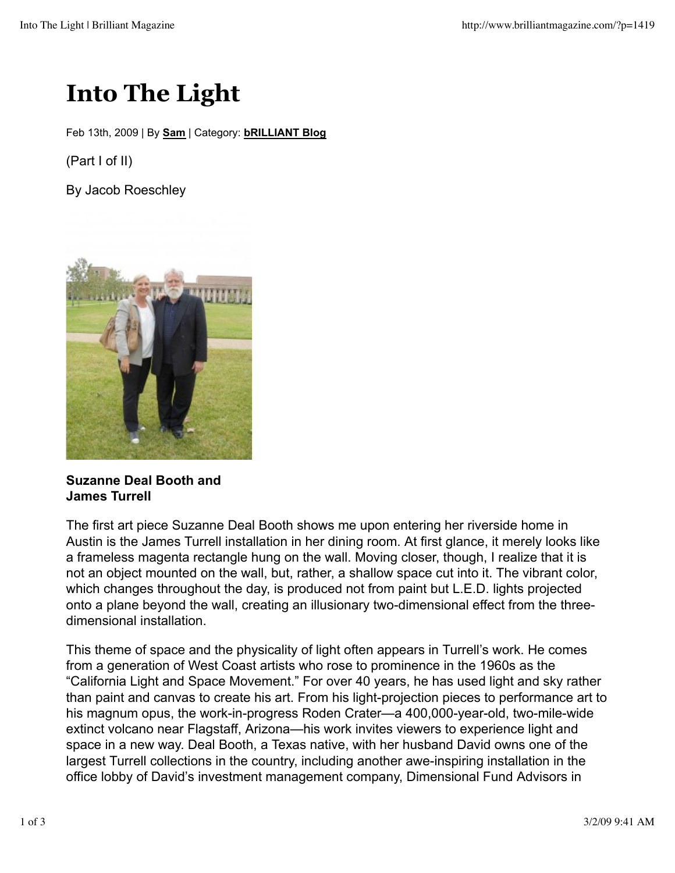## **Into The Light**

Feb 13th, 2009 | By **Sam** | Category: **bRILLIANT Blog**

(Part I of II)

By Jacob Roeschley



## **Suzanne Deal Booth and James Turrell**

The first art piece Suzanne Deal Booth shows me upon entering her riverside home in Austin is the James Turrell installation in her dining room. At first glance, it merely looks like a frameless magenta rectangle hung on the wall. Moving closer, though, I realize that it is not an object mounted on the wall, but, rather, a shallow space cut into it. The vibrant color, which changes throughout the day, is produced not from paint but L.E.D. lights projected onto a plane beyond the wall, creating an illusionary two-dimensional effect from the threedimensional installation.

This theme of space and the physicality of light often appears in Turrell's work. He comes from a generation of West Coast artists who rose to prominence in the 1960s as the "California Light and Space Movement." For over 40 years, he has used light and sky rather than paint and canvas to create his art. From his light-projection pieces to performance art to his magnum opus, the work-in-progress Roden Crater—a 400,000-year-old, two-mile-wide extinct volcano near Flagstaff, Arizona—his work invites viewers to experience light and space in a new way. Deal Booth, a Texas native, with her husband David owns one of the largest Turrell collections in the country, including another awe-inspiring installation in the office lobby of David's investment management company, Dimensional Fund Advisors in